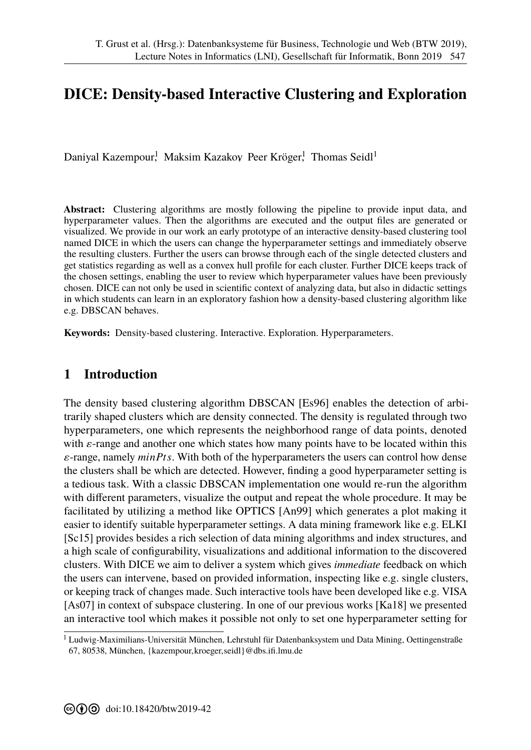# **DICE: Density-based Interactive Clustering and Exploration**

Daniyal Kazempour,<sup>1</sup> Maksim Kazakoy Peer Kröger,<sup>1</sup> Thomas Seidl<sup>1</sup>

**Abstract:** Clustering algorithms are mostly following the pipeline to provide input data, and hyperparameter values. Then the algorithms are executed and the output files are generated or visualized. We provide in our work an early prototype of an interactive density-based clustering tool named DICE in which the users can change the hyperparameter settings and immediately observe the resulting clusters. Further the users can browse through each of the single detected clusters and get statistics regarding as well as a convex hull profile for each cluster. Further DICE keeps track of the chosen settings, enabling the user to review which hyperparameter values have been previously chosen. DICE can not only be used in scientific context of analyzing data, but also in didactic settings in which students can learn in an exploratory fashion how a density-based clustering algorithm like e.g. DBSCAN behaves.

**Keywords:** Density-based clustering. Interactive. Exploration. Hyperparameters.

## **1 Introduction**

The density based clustering algorithm DBSCAN [Es96] enables the detection of arbitrarily shaped clusters which are density connected. The density is regulated through two hyperparameters, one which represents the neighborhood range of data points, denoted with  $\varepsilon$ -range and another one which states how many points have to be located within this ε-range, namely *minPts*. With both of the hyperparameters the users can control how dense the clusters shall be which are detected. However, finding a good hyperparameter setting is a tedious task. With a classic DBSCAN implementation one would re-run the algorithm with different parameters, visualize the output and repeat the whole procedure. It may be facilitated by utilizing a method like OPTICS [An99] which generates a plot making it easier to identify suitable hyperparameter settings. A data mining framework like e.g. ELKI [Sc15] provides besides a rich selection of data mining algorithms and index structures, and a high scale of configurability, visualizations and additional information to the discovered clusters. With DICE we aim to deliver a system which gives *immediate* feedback on which the users can intervene, based on provided information, inspecting like e.g. single clusters, or keeping track of changes made. Such interactive tools have been developed like e.g. VISA [As07] in context of subspace clustering. In one of our previous works [Ka18] we presented an interactive tool which makes it possible not only to set one hyperparameter setting for

<sup>&</sup>lt;sup>1</sup> Ludwig-Maximilians-Universität München, Lehrstuhl für Datenbanksystem und Data Mining, Oettingenstraße 67, 80538, München, {kazempour,kroeger,seidl}@dbs.ifi.lmu.de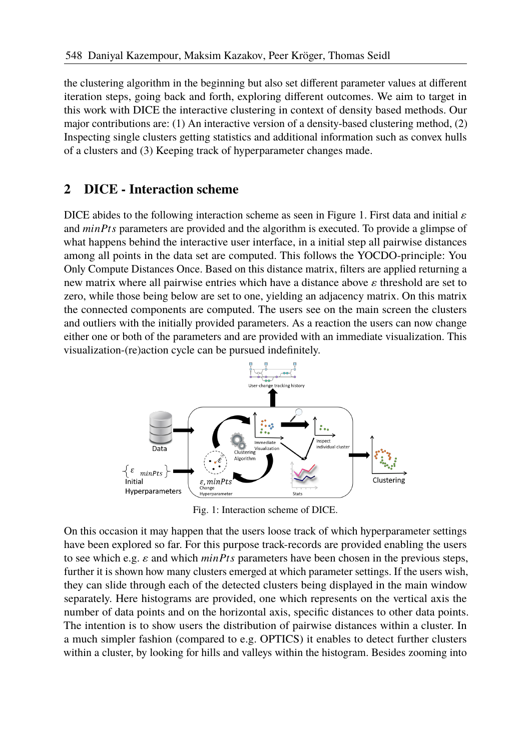the clustering algorithm in the beginning but also set different parameter values at different iteration steps, going back and forth, exploring different outcomes. We aim to target in this work with DICE the interactive clustering in context of density based methods. Our major contributions are: (1) An interactive version of a density-based clustering method, (2) Inspecting single clusters getting statistics and additional information such as convex hulls of a clusters and (3) Keeping track of hyperparameter changes made.

### **2 DICE - Interaction scheme**

DICE abides to the following interaction scheme as seen in Figure 1. First data and initial  $\varepsilon$ and *minPts* parameters are provided and the algorithm is executed. To provide a glimpse of what happens behind the interactive user interface, in a initial step all pairwise distances among all points in the data set are computed. This follows the YOCDO-principle: You Only Compute Distances Once. Based on this distance matrix, filters are applied returning a new matrix where all pairwise entries which have a distance above  $\varepsilon$  threshold are set to zero, while those being below are set to one, yielding an adjacency matrix. On this matrix the connected components are computed. The users see on the main screen the clusters and outliers with the initially provided parameters. As a reaction the users can now change either one or both of the parameters and are provided with an immediate visualization. This visualization-(re)action cycle can be pursued indefinitely.



Fig. 1: Interaction scheme of DICE.

On this occasion it may happen that the users loose track of which hyperparameter settings have been explored so far. For this purpose track-records are provided enabling the users to see which e.g. ε and which *minPts* parameters have been chosen in the previous steps, further it is shown how many clusters emerged at which parameter settings. If the users wish, they can slide through each of the detected clusters being displayed in the main window separately. Here histograms are provided, one which represents on the vertical axis the number of data points and on the horizontal axis, specific distances to other data points. The intention is to show users the distribution of pairwise distances within a cluster. In a much simpler fashion (compared to e.g. OPTICS) it enables to detect further clusters within a cluster, by looking for hills and valleys within the histogram. Besides zooming into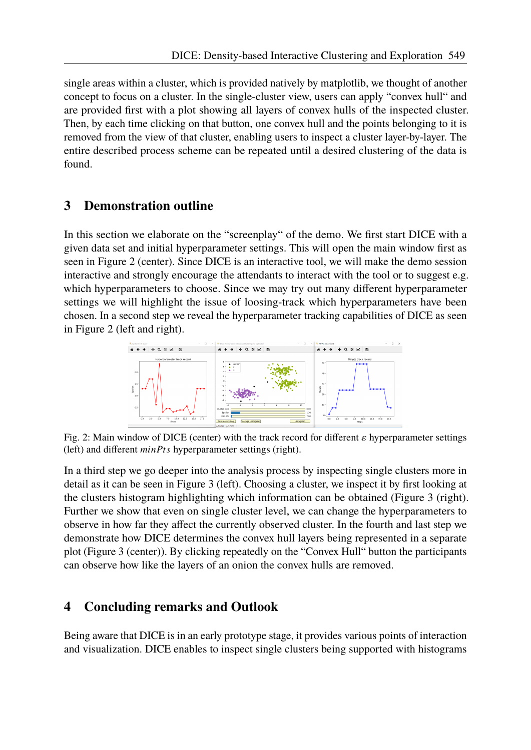single areas within a cluster, which is provided natively by matplotlib, we thought of another concept to focus on a cluster. In the single-cluster view, users can apply "convex hull" and are provided first with a plot showing all layers of convex hulls of the inspected cluster. Then, by each time clicking on that button, one convex hull and the points belonging to it is removed from the view of that cluster, enabling users to inspect a cluster layer-by-layer. The entire described process scheme can be repeated until a desired clustering of the data is found.

## **3 Demonstration outline**

In this section we elaborate on the "screenplay" of the demo. We first start DICE with a given data set and initial hyperparameter settings. This will open the main window first as seen in Figure 2 (center). Since DICE is an interactive tool, we will make the demo session interactive and strongly encourage the attendants to interact with the tool or to suggest e.g. which hyperparameters to choose. Since we may try out many different hyperparameter settings we will highlight the issue of loosing-track which hyperparameters have been chosen. In a second step we reveal the hyperparameter tracking capabilities of DICE as seen in Figure 2 (left and right).



Fig. 2: Main window of DICE (center) with the track record for different  $\varepsilon$  hyperparameter settings (left) and different *minPts* hyperparameter settings (right).

In a third step we go deeper into the analysis process by inspecting single clusters more in detail as it can be seen in Figure 3 (left). Choosing a cluster, we inspect it by first looking at the clusters histogram highlighting which information can be obtained (Figure 3 (right). Further we show that even on single cluster level, we can change the hyperparameters to observe in how far they affect the currently observed cluster. In the fourth and last step we demonstrate how DICE determines the convex hull layers being represented in a separate plot (Figure 3 (center)). By clicking repeatedly on the "Convex Hull" button the participants can observe how like the layers of an onion the convex hulls are removed.

## **4 Concluding remarks and Outlook**

Being aware that DICE is in an early prototype stage, it provides various points of interaction and visualization. DICE enables to inspect single clusters being supported with histograms